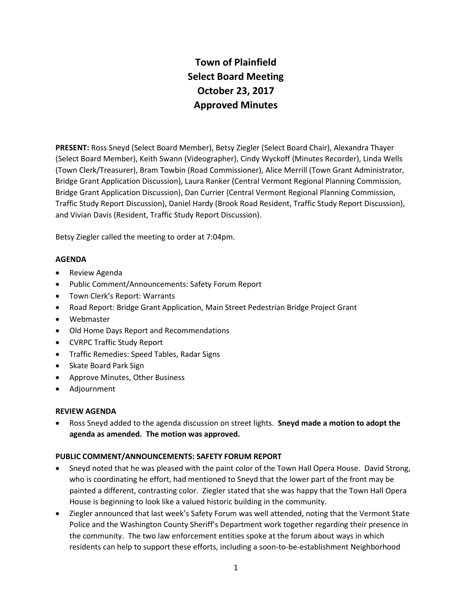# **Town of Plainfield Select Board Meeting October 23, 2017 Approved Minutes**

**PRESENT:** Ross Sneyd (Select Board Member), Betsy Ziegler (Select Board Chair), Alexandra Thayer (Select Board Member), Keith Swann (Videographer), Cindy Wyckoff (Minutes Recorder), Linda Wells (Town Clerk/Treasurer), Bram Towbin (Road Commissioner), Alice Merrill (Town Grant Administrator, Bridge Grant Application Discussion), Laura Ranker (Central Vermont Regional Planning Commission, Bridge Grant Application Discussion), Dan Currier (Central Vermont Regional Planning Commission, Traffic Study Report Discussion), Daniel Hardy (Brook Road Resident, Traffic Study Report Discussion), and Vivian Davis (Resident, Traffic Study Report Discussion).

Betsy Ziegler called the meeting to order at 7:04pm.

# **AGENDA**

- Review Agenda
- Public Comment/Announcements: Safety Forum Report
- Town Clerk's Report: Warrants
- Road Report: Bridge Grant Application, Main Street Pedestrian Bridge Project Grant
- Webmaster
- Old Home Days Report and Recommendations
- CVRPC Traffic Study Report
- Traffic Remedies: Speed Tables, Radar Signs
- Skate Board Park Sign
- Approve Minutes, Other Business
- Adjournment

# **REVIEW AGENDA**

 Ross Sneyd added to the agenda discussion on street lights. **Sneyd made a motion to adopt the agenda as amended. The motion was approved.**

# **PUBLIC COMMENT/ANNOUNCEMENTS: SAFETY FORUM REPORT**

- Sneyd noted that he was pleased with the paint color of the Town Hall Opera House. David Strong, who is coordinating he effort, had mentioned to Sneyd that the lower part of the front may be painted a different, contrasting color. Ziegler stated that she was happy that the Town Hall Opera House is beginning to look like a valued historic building in the community.
- Ziegler announced that last week's Safety Forum was well attended, noting that the Vermont State Police and the Washington County Sheriff's Department work together regarding their presence in the community. The two law enforcement entities spoke at the forum about ways in which residents can help to support these efforts, including a soon-to-be-establishment Neighborhood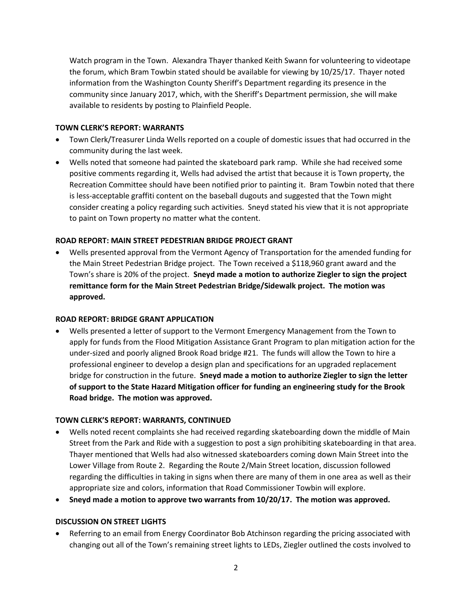Watch program in the Town. Alexandra Thayer thanked Keith Swann for volunteering to videotape the forum, which Bram Towbin stated should be available for viewing by 10/25/17. Thayer noted information from the Washington County Sheriff's Department regarding its presence in the community since January 2017, which, with the Sheriff's Department permission, she will make available to residents by posting to Plainfield People.

# **TOWN CLERK'S REPORT: WARRANTS**

- Town Clerk/Treasurer Linda Wells reported on a couple of domestic issues that had occurred in the community during the last week.
- Wells noted that someone had painted the skateboard park ramp. While she had received some positive comments regarding it, Wells had advised the artist that because it is Town property, the Recreation Committee should have been notified prior to painting it. Bram Towbin noted that there is less-acceptable graffiti content on the baseball dugouts and suggested that the Town might consider creating a policy regarding such activities. Sneyd stated his view that it is not appropriate to paint on Town property no matter what the content.

# **ROAD REPORT: MAIN STREET PEDESTRIAN BRIDGE PROJECT GRANT**

 Wells presented approval from the Vermont Agency of Transportation for the amended funding for the Main Street Pedestrian Bridge project. The Town received a \$118,960 grant award and the Town's share is 20% of the project. **Sneyd made a motion to authorize Ziegler to sign the project remittance form for the Main Street Pedestrian Bridge/Sidewalk project. The motion was approved.** 

# **ROAD REPORT: BRIDGE GRANT APPLICATION**

 Wells presented a letter of support to the Vermont Emergency Management from the Town to apply for funds from the Flood Mitigation Assistance Grant Program to plan mitigation action for the under-sized and poorly aligned Brook Road bridge #21. The funds will allow the Town to hire a professional engineer to develop a design plan and specifications for an upgraded replacement bridge for construction in the future. **Sneyd made a motion to authorize Ziegler to sign the letter of support to the State Hazard Mitigation officer for funding an engineering study for the Brook Road bridge. The motion was approved.**

# **TOWN CLERK'S REPORT: WARRANTS, CONTINUED**

- Wells noted recent complaints she had received regarding skateboarding down the middle of Main Street from the Park and Ride with a suggestion to post a sign prohibiting skateboarding in that area. Thayer mentioned that Wells had also witnessed skateboarders coming down Main Street into the Lower Village from Route 2. Regarding the Route 2/Main Street location, discussion followed regarding the difficulties in taking in signs when there are many of them in one area as well as their appropriate size and colors, information that Road Commissioner Towbin will explore.
- **Sneyd made a motion to approve two warrants from 10/20/17. The motion was approved.**

# **DISCUSSION ON STREET LIGHTS**

 Referring to an email from Energy Coordinator Bob Atchinson regarding the pricing associated with changing out all of the Town's remaining street lights to LEDs, Ziegler outlined the costs involved to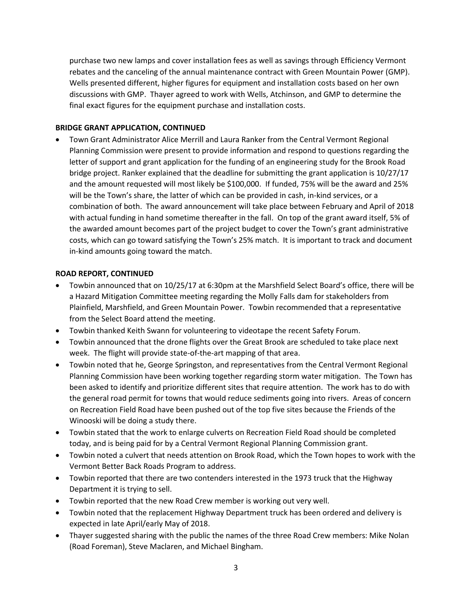purchase two new lamps and cover installation fees as well as savings through Efficiency Vermont rebates and the canceling of the annual maintenance contract with Green Mountain Power (GMP). Wells presented different, higher figures for equipment and installation costs based on her own discussions with GMP. Thayer agreed to work with Wells, Atchinson, and GMP to determine the final exact figures for the equipment purchase and installation costs.

# **BRIDGE GRANT APPLICATION, CONTINUED**

 Town Grant Administrator Alice Merrill and Laura Ranker from the Central Vermont Regional Planning Commission were present to provide information and respond to questions regarding the letter of support and grant application for the funding of an engineering study for the Brook Road bridge project. Ranker explained that the deadline for submitting the grant application is 10/27/17 and the amount requested will most likely be \$100,000. If funded, 75% will be the award and 25% will be the Town's share, the latter of which can be provided in cash, in-kind services, or a combination of both. The award announcement will take place between February and April of 2018 with actual funding in hand sometime thereafter in the fall. On top of the grant award itself, 5% of the awarded amount becomes part of the project budget to cover the Town's grant administrative costs, which can go toward satisfying the Town's 25% match. It is important to track and document in-kind amounts going toward the match.

# **ROAD REPORT, CONTINUED**

- Towbin announced that on 10/25/17 at 6:30pm at the Marshfield Select Board's office, there will be a Hazard Mitigation Committee meeting regarding the Molly Falls dam for stakeholders from Plainfield, Marshfield, and Green Mountain Power. Towbin recommended that a representative from the Select Board attend the meeting.
- Towbin thanked Keith Swann for volunteering to videotape the recent Safety Forum.
- Towbin announced that the drone flights over the Great Brook are scheduled to take place next week. The flight will provide state-of-the-art mapping of that area.
- Towbin noted that he, George Springston, and representatives from the Central Vermont Regional Planning Commission have been working together regarding storm water mitigation. The Town has been asked to identify and prioritize different sites that require attention. The work has to do with the general road permit for towns that would reduce sediments going into rivers. Areas of concern on Recreation Field Road have been pushed out of the top five sites because the Friends of the Winooski will be doing a study there.
- Towbin stated that the work to enlarge culverts on Recreation Field Road should be completed today, and is being paid for by a Central Vermont Regional Planning Commission grant.
- Towbin noted a culvert that needs attention on Brook Road, which the Town hopes to work with the Vermont Better Back Roads Program to address.
- Towbin reported that there are two contenders interested in the 1973 truck that the Highway Department it is trying to sell.
- Towbin reported that the new Road Crew member is working out very well.
- Towbin noted that the replacement Highway Department truck has been ordered and delivery is expected in late April/early May of 2018.
- Thayer suggested sharing with the public the names of the three Road Crew members: Mike Nolan (Road Foreman), Steve Maclaren, and Michael Bingham.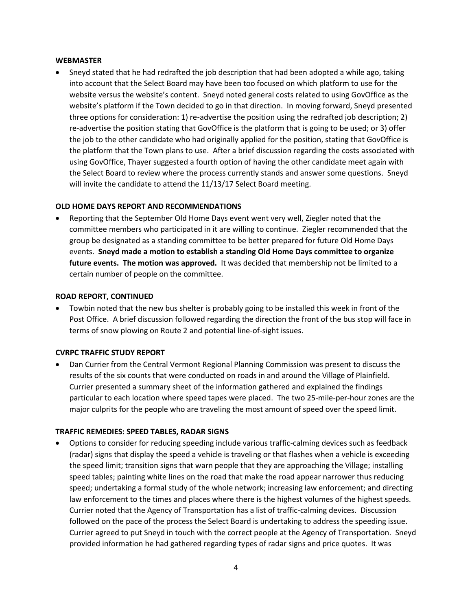#### **WEBMASTER**

 Sneyd stated that he had redrafted the job description that had been adopted a while ago, taking into account that the Select Board may have been too focused on which platform to use for the website versus the website's content. Sneyd noted general costs related to using GovOffice as the website's platform if the Town decided to go in that direction. In moving forward, Sneyd presented three options for consideration: 1) re-advertise the position using the redrafted job description; 2) re-advertise the position stating that GovOffice is the platform that is going to be used; or 3) offer the job to the other candidate who had originally applied for the position, stating that GovOffice is the platform that the Town plans to use. After a brief discussion regarding the costs associated with using GovOffice, Thayer suggested a fourth option of having the other candidate meet again with the Select Board to review where the process currently stands and answer some questions. Sneyd will invite the candidate to attend the 11/13/17 Select Board meeting.

### **OLD HOME DAYS REPORT AND RECOMMENDATIONS**

 Reporting that the September Old Home Days event went very well, Ziegler noted that the committee members who participated in it are willing to continue. Ziegler recommended that the group be designated as a standing committee to be better prepared for future Old Home Days events. **Sneyd made a motion to establish a standing Old Home Days committee to organize future events. The motion was approved.** It was decided that membership not be limited to a certain number of people on the committee.

#### **ROAD REPORT, CONTINUED**

 Towbin noted that the new bus shelter is probably going to be installed this week in front of the Post Office. A brief discussion followed regarding the direction the front of the bus stop will face in terms of snow plowing on Route 2 and potential line-of-sight issues.

#### **CVRPC TRAFFIC STUDY REPORT**

 Dan Currier from the Central Vermont Regional Planning Commission was present to discuss the results of the six counts that were conducted on roads in and around the Village of Plainfield. Currier presented a summary sheet of the information gathered and explained the findings particular to each location where speed tapes were placed. The two 25-mile-per-hour zones are the major culprits for the people who are traveling the most amount of speed over the speed limit.

#### **TRAFFIC REMEDIES: SPEED TABLES, RADAR SIGNS**

 Options to consider for reducing speeding include various traffic-calming devices such as feedback (radar) signs that display the speed a vehicle is traveling or that flashes when a vehicle is exceeding the speed limit; transition signs that warn people that they are approaching the Village; installing speed tables; painting white lines on the road that make the road appear narrower thus reducing speed; undertaking a formal study of the whole network; increasing law enforcement; and directing law enforcement to the times and places where there is the highest volumes of the highest speeds. Currier noted that the Agency of Transportation has a list of traffic-calming devices. Discussion followed on the pace of the process the Select Board is undertaking to address the speeding issue. Currier agreed to put Sneyd in touch with the correct people at the Agency of Transportation. Sneyd provided information he had gathered regarding types of radar signs and price quotes. It was